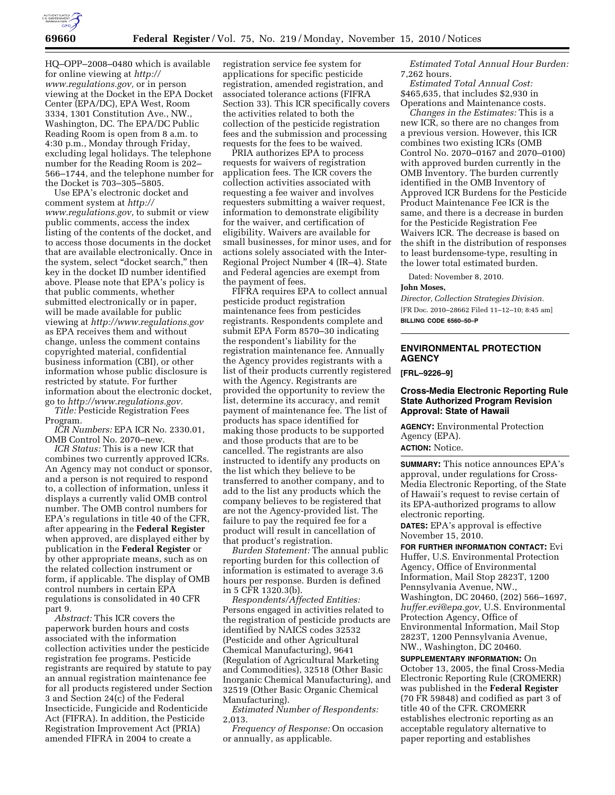

HQ–OPP–2008–0480 which is available for online viewing at *[http://](http://www.regulations.gov)  [www.regulations.gov,](http://www.regulations.gov)* or in person viewing at the Docket in the EPA Docket Center (EPA/DC), EPA West, Room 3334, 1301 Constitution Ave., NW., Washington, DC. The EPA/DC Public Reading Room is open from 8 a.m. to 4:30 p.m., Monday through Friday, excluding legal holidays. The telephone number for the Reading Room is 202– 566–1744, and the telephone number for the Docket is 703–305–5805.

Use EPA's electronic docket and comment system at *[http://](http://www.regulations.gov) [www.regulations.gov,](http://www.regulations.gov)* to submit or view public comments, access the index listing of the contents of the docket, and to access those documents in the docket that are available electronically. Once in the system, select "docket search," then key in the docket ID number identified above. Please note that EPA's policy is that public comments, whether submitted electronically or in paper, will be made available for public viewing at *<http://www.regulations.gov>* as EPA receives them and without change, unless the comment contains copyrighted material, confidential business information (CBI), or other information whose public disclosure is restricted by statute. For further information about the electronic docket, go to *[http://www.regulations.gov.](http://www.regulations.gov)* 

*Title:* Pesticide Registration Fees Program.

*ICR Numbers:* EPA ICR No. 2330.01, OMB Control No. 2070–new.

*ICR Status:* This is a new ICR that combines two currently approved ICRs. An Agency may not conduct or sponsor, and a person is not required to respond to, a collection of information, unless it displays a currently valid OMB control number. The OMB control numbers for EPA's regulations in title 40 of the CFR, after appearing in the **Federal Register**  when approved, are displayed either by publication in the **Federal Register** or by other appropriate means, such as on the related collection instrument or form, if applicable. The display of OMB control numbers in certain EPA regulations is consolidated in 40 CFR part 9.

*Abstract:* This ICR covers the paperwork burden hours and costs associated with the information collection activities under the pesticide registration fee programs. Pesticide registrants are required by statute to pay an annual registration maintenance fee for all products registered under Section 3 and Section 24(c) of the Federal Insecticide, Fungicide and Rodenticide Act (FIFRA). In addition, the Pesticide Registration Improvement Act (PRIA) amended FIFRA in 2004 to create a

registration service fee system for applications for specific pesticide registration, amended registration, and associated tolerance actions (FIFRA Section 33). This ICR specifically covers the activities related to both the collection of the pesticide registration fees and the submission and processing requests for the fees to be waived.

PRIA authorizes EPA to process requests for waivers of registration application fees. The ICR covers the collection activities associated with requesting a fee waiver and involves requesters submitting a waiver request, information to demonstrate eligibility for the waiver, and certification of eligibility. Waivers are available for small businesses, for minor uses, and for actions solely associated with the Inter-Regional Project Number 4 (IR–4). State and Federal agencies are exempt from the payment of fees.

FIFRA requires EPA to collect annual pesticide product registration maintenance fees from pesticides registrants. Respondents complete and submit EPA Form 8570–30 indicating the respondent's liability for the registration maintenance fee. Annually the Agency provides registrants with a list of their products currently registered with the Agency. Registrants are provided the opportunity to review the list, determine its accuracy, and remit payment of maintenance fee. The list of products has space identified for making those products to be supported and those products that are to be cancelled. The registrants are also instructed to identify any products on the list which they believe to be transferred to another company, and to add to the list any products which the company believes to be registered that are not the Agency-provided list. The failure to pay the required fee for a product will result in cancellation of that product's registration.

*Burden Statement:* The annual public reporting burden for this collection of information is estimated to average 3.6 hours per response. Burden is defined in 5 CFR 1320.3(b).

*Respondents/Affected Entities:*  Persons engaged in activities related to the registration of pesticide products are identified by NAICS codes 32532 (Pesticide and other Agricultural Chemical Manufacturing), 9641 (Regulation of Agricultural Marketing and Commodities), 32518 (Other Basic Inorganic Chemical Manufacturing), and 32519 (Other Basic Organic Chemical Manufacturing).

*Estimated Number of Respondents:*  2,013.

*Frequency of Response:* On occasion or annually, as applicable.

*Estimated Total Annual Hour Burden:*  7,262 hours.

*Estimated Total Annual Cost:*  \$465,635, that includes \$2,930 in Operations and Maintenance costs.

*Changes in the Estimates:* This is a new ICR, so there are no changes from a previous version. However, this ICR combines two existing ICRs (OMB Control No. 2070–0167 and 2070–0100) with approved burden currently in the OMB Inventory. The burden currently identified in the OMB Inventory of Approved ICR Burdens for the Pesticide Product Maintenance Fee ICR is the same, and there is a decrease in burden for the Pesticide Registration Fee Waivers ICR. The decrease is based on the shift in the distribution of responses to least burdensome-type, resulting in the lower total estimated burden.

Dated: November 8, 2010.

#### **John Moses,**

*Director, Collection Strategies Division.*  [FR Doc. 2010–28662 Filed 11–12–10; 8:45 am] **BILLING CODE 6560–50–P** 

## **ENVIRONMENTAL PROTECTION AGENCY**

**[FRL–9226–9]** 

#### **Cross-Media Electronic Reporting Rule State Authorized Program Revision Approval: State of Hawaii**

**AGENCY:** Environmental Protection Agency (EPA). **ACTION:** Notice.

**SUMMARY:** This notice announces EPA's approval, under regulations for Cross-Media Electronic Reporting, of the State of Hawaii's request to revise certain of its EPA-authorized programs to allow electronic reporting. **DATES:** EPA's approval is effective November 15, 2010.

**FOR FURTHER INFORMATION CONTACT:** Evi Huffer, U.S. Environmental Protection Agency, Office of Environmental Information, Mail Stop 2823T, 1200 Pennsylvania Avenue, NW., Washington, DC 20460, (202) 566–1697, *[huffer.evi@epa.gov,](mailto:huffer.evi@epa.gov)* U.S. Environmental Protection Agency, Office of Environmental Information, Mail Stop 2823T, 1200 Pennsylvania Avenue, NW., Washington, DC 20460.

**SUPPLEMENTARY INFORMATION:** On October 13, 2005, the final Cross-Media Electronic Reporting Rule (CROMERR) was published in the **Federal Register**  (70 FR 59848) and codified as part 3 of title 40 of the CFR. CROMERR establishes electronic reporting as an acceptable regulatory alternative to paper reporting and establishes